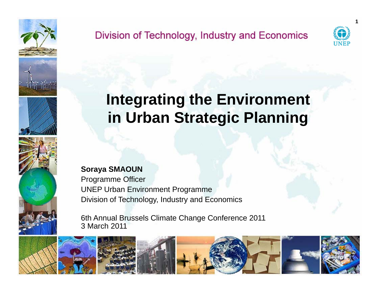

## Division of Technology, Industry and Economics



**1**

# **Integrating the Environment in Urban Strategic Planning**

**Soraya SMAOUN**

Programme Officer UNEP Urban Environment Programme Division of Technology, Industry and Economics

6th Annual Brussels Climate Change Conference 2011 3 March 2011

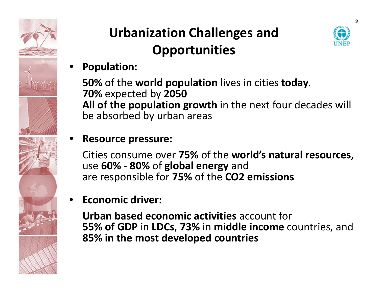

# **Urbanization Challenges and Opportunities**



#### •**Population:**

**50%** of the **world population** lives in cities **today**. **70%** expected by **2050 All of the population growth** in the next four decades will be absorbed by urban areas

#### •**Resource pressure:**

Cities consume over **75%** of the **world's natural resources,** use **60% ‐ 80%** of **global energy** and are responsible for **75%** of the **CO2 emissions**

#### •**Economic driver:**

**Urban based economic activities** account for **55% of GDP** in **LDCs**, **73%** in **middle income** countries, and **85% in the most developed countries**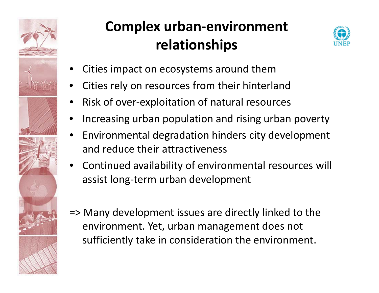

# **Complex urban‐environment relationships**



- •Cities impact on ecosystems around them
- •Cities rely on resources from their hinterland
- •● Risk of over-exploitation of natural resources
- •Increasing urban population and rising urban poverty
- • Environmental degradation hinders city development and reduce their attractiveness
- • Continued availability of environmental resources will assist long‐term urban development
- => Many development issues are directly linked to the environment. Yet, urban management does not sufficiently take in consideration the environment.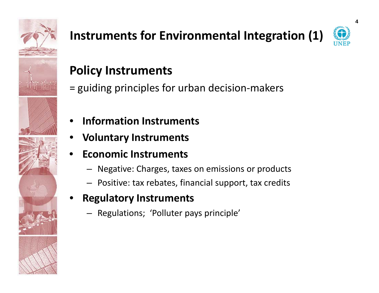

# **Instruments for Environmental Integration (1)**



## **Policy Instruments**

- = guiding principles for urban decision ‐makers
- •**Information Instruments**
- •**Voluntary Instruments**
- • **Economic Instruments**
	- Negative: Charges, taxes on emissions or products
	- Positive: tax rebates, financial support, tax credits
- • **Regulatory Instruments**
	- Regulations; 'Polluter pays principle'

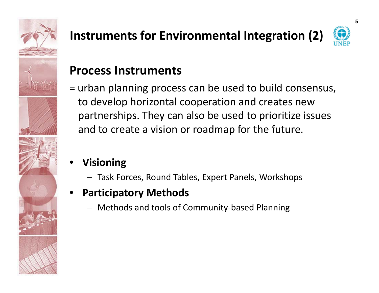

# **Instruments for Environmental Integration (2)**



**5**

## **Process Instruments**

- = urban planning process can be used to build consensus, to develop horizontal cooperation and creates new partnerships. They can also be used to prioritize issues and to create <sup>a</sup> vision or roadmap for the future.
- • **Visioning**
	- Task Forces, Round Tables, Expert Panels, Workshops
- • **Participatory Methods**
	- Methods and tools of Community‐based Planning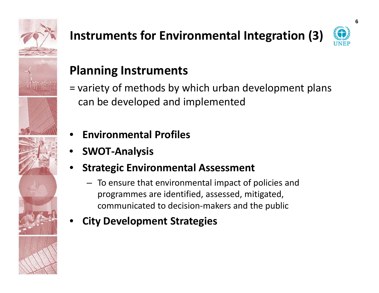

# **Instruments for Environmental Integration (3)**



## **Planning Instruments**

- = variety of methods by which urban development plans can be developed and implemented
- •**Environmental Profiles**
- •**SWOT‐Analysis**
- • **St t i ra eg <sup>c</sup> E i tl nv ronmentalA <sup>t</sup> ssessment**
	- To ensure that environmental impact of policies and programmes are identified, assessed, mitigated, communicated to decision‐makers and the public
- •**City Development Strategies**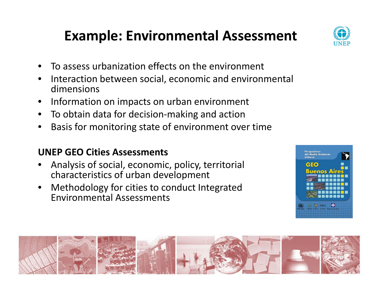# **Example: Environmental Assessment**

- •**•** To assess urbanization effects on the environment
- •• Interaction between social, economic and environmental dimensions
- $\bullet$ • Information on impacts on urban environment
- •To obtain data for decision‐making and action
- •**•** Basis for monitoring state of environment over time

### **UNEP GEO Cities Assessments**

- •Analysis of social, economic, policy, territorial characteristics of urban development
- • Methodology for cities to conduct Integrated Environmental Assessments





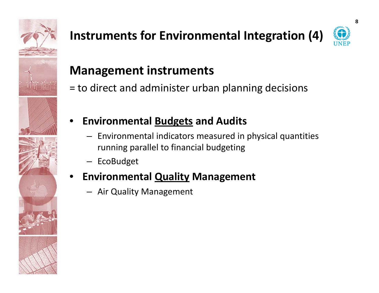

# **Instruments for Environmental Integration (4)**



## **Management instruments**

= to direct and administer urban planning decisions



- Environmental indicators measured in physical quantities running parallel to financial budgeting
- EcoBudget

### •**Environmental Quality Management**

– Air Quality Management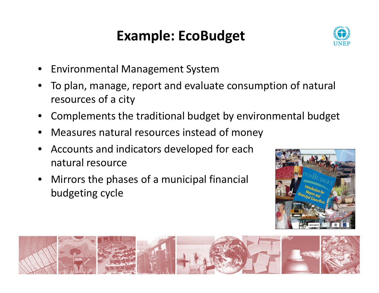# **Example: EcoBudget**



- •Environmental Management System
- • To plan, manage, report and evaluate consumption of natural resources of <sup>a</sup> city
- •Complements the traditional budget by environmental budget
- •Measures natural resources instead of money
- • Accounts and indicators developed for each natural resource
- • Mirrors the phases of <sup>a</sup> municipal financial budgeting cycle



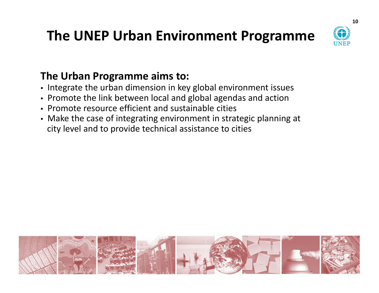# **The UNEP Urban Environment Programme**



## **The Urban Programme aims to:**

- Integrate the urban dimension in key global environment issues
- Promote the link between local and global agendas and action
- Promote resource efficient and sustainable cities
- Make the case of integrating environment in strategic planning at city level and to provide technical assistance to cities

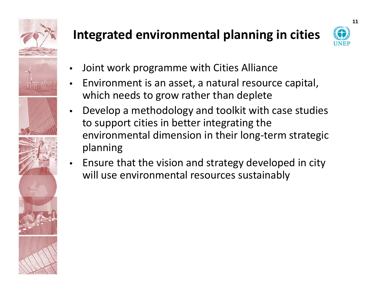

## **Integrated environmental planning in cities**



- •Joint work programme with Cities Alliance
- • Environment is an asset, <sup>a</sup> natural resource capital, which needs to grow rather than deplete
- • Develop <sup>a</sup> methodology and toolkit with case studies to support cities in better integrating the environmental dimension in their long‐term strategic planning
- • Ensure that the vision and strategy developed in city will use environmental resources sustainably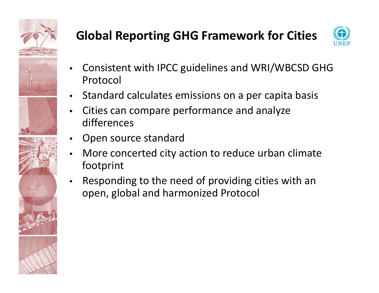

## **Global Reporting GHG Framework for Cities**



- • Consistent with IPCC guidelines and WRI/WBCSD GHG Protocol
- •• Standard calculates emissions on a per capita basis
- • Cities can compare performance and analyze differences
- •Open source standard
- • More concerted city action to reduce urban climate footprint
- • Responding to the need of providing cities with an open, global and harmonized Protocol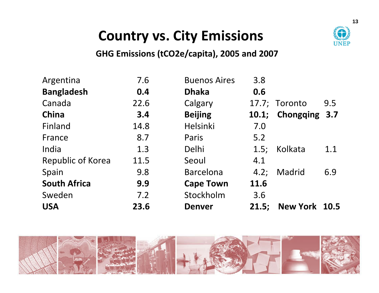

# **Country vs. City Emissions**

### **GHG Emissions (tCO2e/capita) 2005 and 2007 (tCO2e/capita),**

| Argentina           | 7.6  | <b>Buenos Aires</b> | 3.8   |               |     |
|---------------------|------|---------------------|-------|---------------|-----|
| <b>Bangladesh</b>   | 0.4  | <b>Dhaka</b>        | 0.6   |               |     |
| Canada              | 22.6 | Calgary             |       | 17.7; Toronto | 9.5 |
| China               | 3.4  | <b>Beijing</b>      | 10.1; | Chongqing 3.7 |     |
| Finland             | 14.8 | Helsinki            | 7.0   |               |     |
| France              | 8.7  | Paris               | 5.2   |               |     |
| India               | 1.3  | Delhi               | 1.5;  | Kolkata       | 1.1 |
| Republic of Korea   | 11.5 | Seoul               | 4.1   |               |     |
| Spain               | 9.8  | <b>Barcelona</b>    | 4.2;  | Madrid        | 6.9 |
| <b>South Africa</b> | 9.9  | <b>Cape Town</b>    | 11.6  |               |     |
| Sweden              | 7.2  | Stockholm           | 3.6   |               |     |
| <b>USA</b>          | 23.6 | <b>Denver</b>       | 21.5: | New York 10.5 |     |

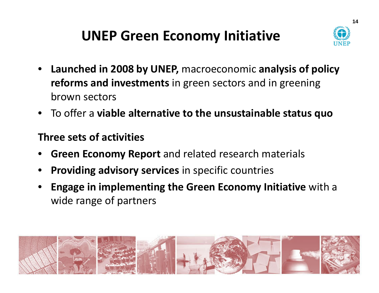# **UNEP Green Economy Initiative**



- $\bullet$  **Launched in 2008 by UNEP,** macroeconomic **analysis of policy reforms and investments** in green sectors and in greening brown sectors
- To offer <sup>a</sup> **viable alternative to the unsustainable status quo**

## **Three sets of activities**

- •**Green Economy Report** and related research materials
- •**Providing advisory services** in specific countries
- • **Engage in implementing the Green Economy Initiative** with <sup>a</sup> wide range of partners

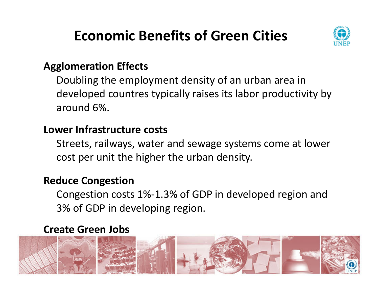# **Economic Benefits of Green Cities**



## **Agglomeration Effects**

Doubling the employment density of an urban area in developed countres typically raises its labor productivity by around 6%.

## **Lower Infrastructure costs**

Streets, railways, water and sewage systems come at lower cost per unit the higher the urban density.

## **Reduce Congestion**

Congestion costs 1%‐1.3% of GDP in developed region and 3% of GDP in developing region.

## **Create Green Jobs**

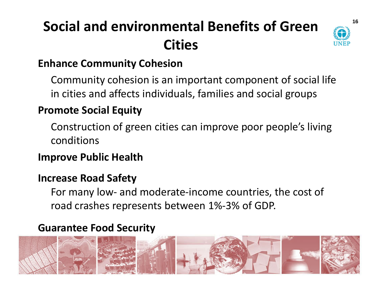# **Social and environmental Benefits of Green Cities**



## **Enhance Community Cohesion**

Community cohesion is an important component of social life in cities and affects individuals, families and social groups

## **Promote Social Equity**

Construction of green cities can improve poor people's living conditions

## **Improve Public Health**

## **Increase Road Safety**

For many low‐ and moderate‐income countries, the cost of road crashes represents between 1%‐3% of GDP.

## **Guarantee Food Security**

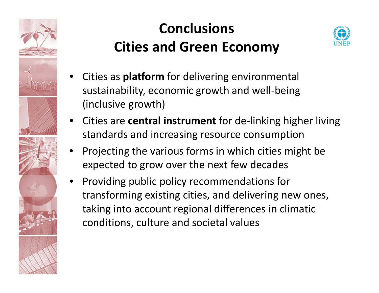

# **ConclusionsCities and Green Economy**



- • Cities as **platform** for delivering environmental sustainability, economic growth and well-being (inclusive growth)
- • Cities are **central instrument** for de‐linking higher living standards and increasing resource consumption
- • Projecting the various forms in which cities might be expected to grow over the next few decades
- • Providing public policy recommendations for transforming existing cities, and delivering new ones, taking into account regional differences in climatic conditions, culture and societal values